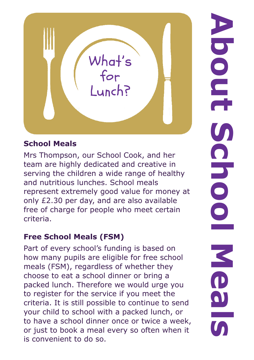

## **School Meals**

Mrs Thompson, our School Cook, and her team are highly dedicated and creative in serving the children a wide range of healthy and nutritious lunches. School meals represent extremely good value for money at only £2.30 per day, and are also available free of charge for people who meet certain criteria.

## **Free School Meals (FSM)**

Part of every school's funding is based on how many pupils are eligible for free school meals (FSM), regardless of whether they choose to eat a school dinner or bring a packed lunch. Therefore we would urge you to register for the service if you meet the criteria. It is still possible to continue to send your child to school with a packed lunch, or to have a school dinner once or twice a week, or just to book a meal every so often when it is convenient to do so.